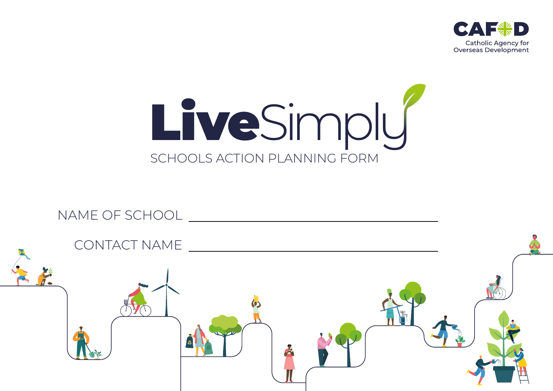



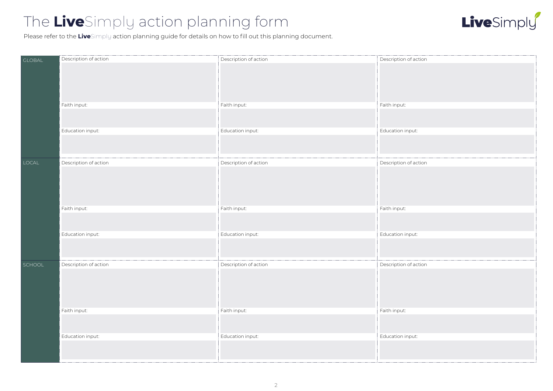# The **Live**Simply action planning form



Please refer to the **Live**Simply action planning guide for details on how to fill out this planning document.

| <b>GLOBAL</b> | Description of action | Description of action | Description of action |
|---------------|-----------------------|-----------------------|-----------------------|
|               |                       |                       |                       |
|               | Faith input:          | Faith input:          | Faith input:          |
|               |                       |                       |                       |
|               | Education input:      | Education input:      | Education input:      |
|               |                       |                       |                       |
| LOCAL         | Description of action | Description of action | Description of action |
|               |                       |                       |                       |
|               | Faith input:          | Faith input:          | Faith input:          |
|               |                       |                       |                       |
|               | Education input:      | Education input:      | Education input:      |
|               |                       |                       |                       |
| SCHOOL        | Description of action | Description of action | Description of action |
|               |                       |                       |                       |
|               | Faith input:          | Faith input:          | Faith input:          |
|               |                       |                       |                       |
|               | Education input:      | Education input:      | Education input:      |
|               |                       |                       |                       |
|               |                       |                       |                       |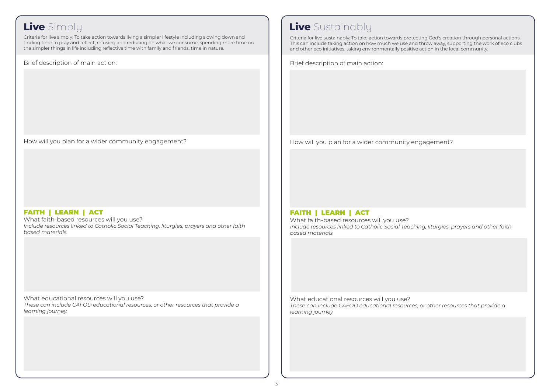Criteria for live simply: To take action towards living a simpler lifestyle including slowing down and finding time to pray and reflect, refusing and reducing on what we consume, spending more time on the simpler things in life including reflective time with family and friends, time in nature.

Brief description of main action:

How will you plan for a wider community engagement?

### FAITH | LEARN | ACT

What faith-based resources will you use? *Include resources linked to Catholic Social Teaching, liturgies, prayers and other faith based materials.* 

What educational resources will you use? *These can include CAFOD educational resources, or other resources that provide a learning journey.*

## **Live** Simply **Live** Sustainably

Criteria for live sustainably: To take action towards protecting God's creation through personal actions. This can include taking action on how much we use and throw away, supporting the work of eco clubs and other eco initiatives, taking environmentally positive action in the local community.

Brief description of main action:

How will you plan for a wider community engagement?

### FAITH | LEARN | ACT

What faith-based resources will you use? *Include resources linked to Catholic Social Teaching, liturgies, prayers and other faith based materials.* 

What educational resources will you use? *These can include CAFOD educational resources, or other resources that provide a learning journey.*